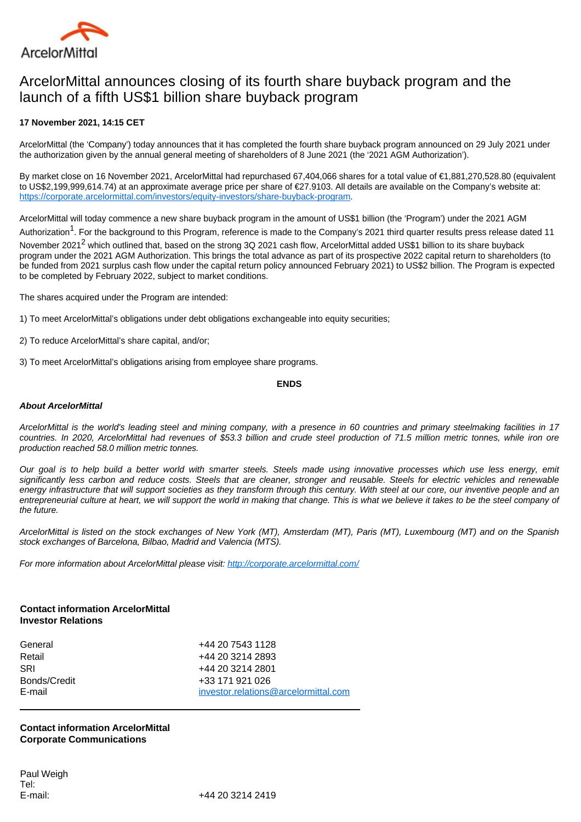

# ArcelorMittal announces closing of its fourth share buyback program and the launch of a fifth US\$1 billion share buyback program

## **17 November 2021, 14:15 CET**

ArcelorMittal (the 'Company') today announces that it has completed the fourth share buyback program announced on 29 July 2021 under the authorization given by the annual general meeting of shareholders of 8 June 2021 (the '2021 AGM Authorization').

By market close on 16 November 2021, ArcelorMittal had repurchased 67,404,066 shares for a total value of €1,881,270,528.80 (equivalent to US\$2,199,999,614.74) at an approximate average price per share of €27.9103. All details are available on the Company's website at: [https://corporate.arcelormittal.com/investors/equity-investors/share-buyback-program.](https://corporate.arcelormittal.com/investors/equity-investors/share-buyback-program)

ArcelorMittal will today commence a new share buyback program in the amount of US\$1 billion (the 'Program') under the 2021 AGM Authorization<sup>1</sup>. For the background to this Program, reference is made to the Company's 2021 third quarter results press release dated 11 November 2021<sup>2</sup> which outlined that, based on the strong 3Q 2021 cash flow, ArcelorMittal added US\$1 billion to its share buyback program under the 2021 AGM Authorization. This brings the total advance as part of its prospective 2022 capital return to shareholders (to be funded from 2021 surplus cash flow under the capital return policy announced February 2021) to US\$2 billion. The Program is expected to be completed by February 2022, subject to market conditions.

The shares acquired under the Program are intended:

- 1) To meet ArcelorMittal's obligations under debt obligations exchangeable into equity securities;
- 2) To reduce ArcelorMittal's share capital, and/or;
- 3) To meet ArcelorMittal's obligations arising from employee share programs.

### **ENDS**

### **About ArcelorMittal**

ArcelorMittal is the world's leading steel and mining company, with a presence in 60 countries and primary steelmaking facilities in 17 countries. In 2020, ArcelorMittal had revenues of \$53.3 billion and crude steel production of 71.5 million metric tonnes, while iron ore production reached 58.0 million metric tonnes.

Our goal is to help build a better world with smarter steels. Steels made using innovative processes which use less energy, emit significantly less carbon and reduce costs. Steels that are cleaner, stronger and reusable. Steels for electric vehicles and renewable energy infrastructure that will support societies as they transform through this century. With steel at our core, our inventive people and an entrepreneurial culture at heart, we will support the world in making that change. This is what we believe it takes to be the steel company of the future.

ArcelorMittal is listed on the stock exchanges of New York (MT), Amsterdam (MT), Paris (MT), Luxembourg (MT) and on the Spanish stock exchanges of Barcelona, Bilbao, Madrid and Valencia (MTS).

For more information about ArcelorMittal please visit: <http://corporate.arcelormittal.com/>

### **Contact information ArcelorMittal Investor Relations**

| General      | +44 20 7543 1128                     |
|--------------|--------------------------------------|
| Retail       | +44 20 3214 2893                     |
| SRI          | +44 20 3214 2801                     |
| Bonds/Credit | +33 171 921 026                      |
| E-mail       | investor.relations@arcelormittal.com |

**Contact information ArcelorMittal Corporate Communications**